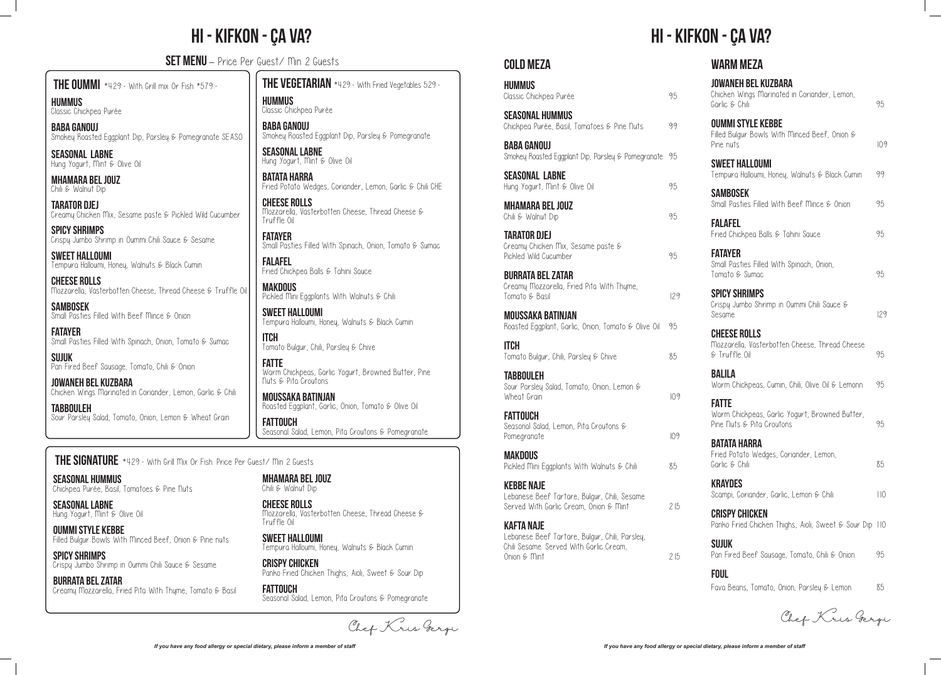SEASONAL LABNE Hung Yogurt, Mint & Olive Oil

OUMMI STYLE KEBBE Filled Bulgur Bowls With Minced Beef, Onion & Pine nuts

# Hi - Kifkon - Ça Va? Hi - Kifkon - Ça Va?

SET MENU - Price Per Guest/ Min 2 Guests

 $\overline{a}$ SPICY SHRIMPS Crispy Jumbo Shrimp in Oummi Chili Sauce & Sesame

SEASONAL HUMMUS Chickpea Purée, Basil, Tomatoes & Pine Nuts

**HIIMMIIS** Classic Chickpea Purée

BURRATA BEL ZATAR Creamy Mozzarella, Fried Pita With Thyme, Tomato & Basil

FATAYER Small Pasties Filled With Spinach, Onion, Tomato & Sumac

THE OUMMI \*429:- With Grill mix Or Fish \*579:-

SUJUK Pan Fired Beef Sausage, Tomato, Chili & Onion

BABA GANOUJ Smokey Roasted Eggplant Dip, Parsley & Pomegranate SEASO

seasonal LABNE Hung Yogurt, Mint & Olive Oil

MHAMARA BEL JOUZ Chili & Walnut Dip

TARATOR DJEJ Creamy Chicken Mix, Sesame paste & Pickled Wild Cucumber

> FATAYER Small Pasties Filled With Spinach, Onion, Tomato & Sumac

SPICY SHRIMPS Crispy Jumbo Shrimp in Oummi Chili Sauce & Sesame

> MAKDOUS  $Pichled$  Mini Eggplants With Walnuts & Chili

SWEET HALLOUMI Tempura Halloumi, Honey, Walnuts & Black Cumin

SWEET HALLOUMI Tempura Halloumi, Honey, Walnuts & Black Cumin

> ITCH Tomato Bulgur, Chili, Parsley & Chive

CHEESE ROLLS Mozzarella, Västerbotten Cheese, Thread Cheese & Truffle Oil

**SAMBOSEK** Small Pasties Filled With Beef Mince & Onion

> CRISPY CHICKEN Panko Fried Chicken Thighs, Aioli, Sweet & Sour Dip

FATTOUCH Seasonal Salad, Lemon, Pita Croutons & Pomegranate

JOWANEH BEL KUZBARA Chicken Wings Marinated in Coriander, Lemon, Garlic & Chili

TABBOULEH Sour Parsley Salad, Tomato, Onion, Lemon & Wheat Grain THE VEGETARIAN \*429:- With Fried Vegetables 529:- HUMMUS Classic Chickpea Purée

BABA GANOUJ Smokey Roasted Eggplant Dip, Parsley & Pomegranate

SEASONAL LABNE Hung Yogurt, Mint & Olive Oil

BATATA HARRA Fried Potato Wedges, Coriander, Lemon, Garlic & Chili CHE

cheESE ROLLS Mozzarella, Västerbotten Cheese, Thread Cheese & Truffle Oil

FALAFEL Fried Chickpea Balls & Tahini Sauce

FATTE Warm Chickpeas, Garlic Yogurt, Browned Butter, Pine Nuts & Pita Croutons

MOUSSAKA BATINJAN Roasted Eggplant, Garlic, Onion, Tomato & Olive Oil

FATTOUCH Seasonal Salad, Lemon, Pita Croutons & Pomegranate

THE SIGNATURE \*429:- With Grill Mix Or Fish. Price Per Guest/ Min 2 Guests

MHAMARA BEL JOUZ Chili & Walnut Dip

CHEESE ROLLS Mozzarella, Västerbotten Cheese, Thread Cheese & Truffle Oil

SWEET HALLOUMI Tempura Halloumi, Honey, Walnuts & Black Cumin

#### cold MEZA

| <b>HUMMUS</b><br>Classic Chickpea Purée                                                                                 | 95  |
|-------------------------------------------------------------------------------------------------------------------------|-----|
| <b>SEASONAL HUMMUS</b><br>Chickpea Purée, Basil, Tomatoes & Pine Nuts                                                   | 99  |
| <b>BABA GANOUJ</b><br>Smokey Roasted Eggplant Dip, Parsley & Pomegranate                                                | 95  |
| <b>SEASONAL LABNE</b><br>Hung Yogurt, Mint & Olive Oil                                                                  | 95  |
| <b>MHAMARA BEL JOUZ</b><br>Chili & Walnut Dip                                                                           | 95  |
| <b>TARATOR DJEJ</b><br>Creamy Chicken Mix, Sesame paste &<br>Pickled Wild Cucumber                                      | 95  |
| <b>BURRATA BEL ZATAR</b><br>Creamy Mozzarella, Fried Pita With Thyme,<br>Tomato & Basil                                 | 129 |
| MOUSSAKA BATINJAN<br>Roasted Eggplant, Garlic, Onion, Tomato & Olive Oil                                                | 95  |
| <b>ITCH</b><br>Tomato Bulgur, Chili, Parsley & Chive                                                                    | 85  |
| <b>TABBOULEH</b><br>Sour Parsley Salad, Tomato, Onion, Lemon &<br>Wheat Grain                                           | 109 |
| <b>FATTOUCH</b><br>Seasonal Salad, Lemon, Pita Croutons $\epsilon$<br>Pomegranate                                       | 109 |
| <b>MAKDOUS</b><br>Pickled Mini Eggplants With Walnuts & Chili                                                           | 85  |
| <b>KEBBE NAJE</b><br>Lebanese Beef Tartare, Bulgur, Chili, Sesame<br>Served With Garlic Cream, Onion & Mint             | 215 |
| KAFTA NAJE<br>Lebanese Beef Tartare, Bulgur, Chili, Parsley,<br>Chili Sesame. Served With Garlic Cream,<br>Onion & Mint | 215 |

#### warm MEZA

| JOWANEH BEL KUZBARA<br>Chicken Wings Marinated in Coriander, Lemon,<br>Garlic & Chili       | 95  |
|---------------------------------------------------------------------------------------------|-----|
| <b>OUMMI STYLE KEBBE</b><br>Filled Bulgur Bowls With Minced Beef, Onion &<br>Pine nuts      | 109 |
| <b>SWEET HALLOUMI</b><br>Tempura Halloumi, Honey, Walnuts & Black Cumin                     | 99  |
| <b>SAMBOSEK</b><br>Small Pasties Filled With Beef Mince & Onion                             | 95  |
| <b>FALAFEL</b><br>Fried Chickpea Balls & Tahini Sauce                                       | 95  |
| <b>FATAYER</b><br>Small Pasties Filled With Spinach, Onion,<br>Tomato & Sumac               | 95  |
| <b>SPICY SHRIMPS</b><br>Crispy Jumbo Shrimp in Oummi Chili Sauce &<br>Sesame                | 129 |
| <b>CHEESE ROLLS</b><br>Mozzarella, Västerbotten Cheese, Thread Cheese<br>& Truffle Oil      | 95  |
| BALILA<br>Warm Chickpeas, Cumin, Chili, Olive Oil & Lemonn                                  | 95  |
| <b>FATTE</b><br>Warm Chickpeas, Garlic Yogurt, Browned Butter,<br>Pine Duts & Pita Croutons | 95  |
| <b>BATATA HARRA</b><br>Fried Potato Wedges, Coriander, Lemon,<br>Garlic & Chili             | 85  |
| <b>KRAYDES</b><br>Scampi, Coriander, Garlic, Lemon & Chili                                  | 110 |
| <b>CRISPY CHICKEN</b><br>Panko Fried Chicken Thighs, Aioli, Sweet & Sour Dip 110            |     |
| <b>SUJUK</b><br>Pan Fired Beef Sausage, Tomato, Chili & Onion                               | 95  |
| <b>FOUL</b><br>Fava Beans, Tomato, Onion, Parsley & Lemon                                   | 85  |

Chef Kris Gergi

Chef Kris Gergi